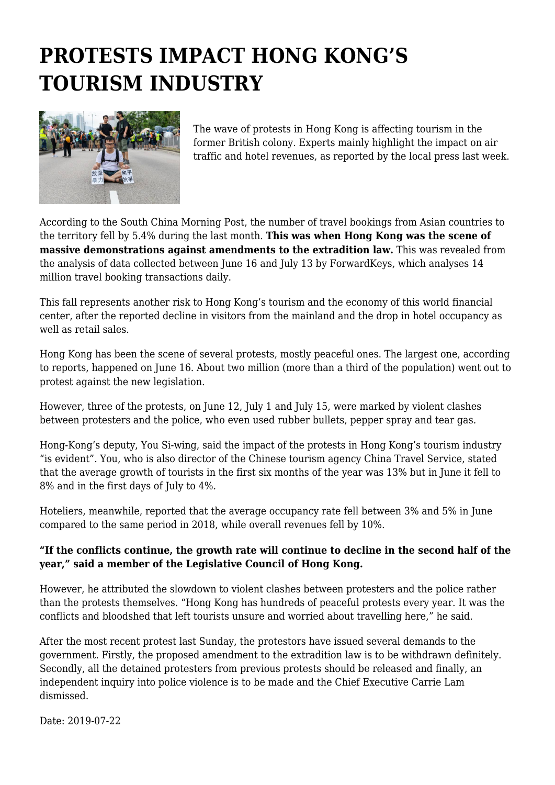## **PROTESTS IMPACT HONG KONG'S TOURISM INDUSTRY**



The wave of protests in Hong Kong is affecting tourism in the former British colony. Experts mainly highlight the impact on air traffic and hotel revenues, as reported by the local press last week.

According to the South China Morning Post, the number of travel bookings from Asian countries to the territory fell by 5.4% during the last month. **This was when Hong Kong was the scene of massive demonstrations against amendments to the extradition law.** This was revealed from the analysis of data collected between June 16 and July 13 by ForwardKeys, which analyses 14 million travel booking transactions daily.

This fall represents another risk to Hong Kong's tourism and the economy of this world financial center, after the reported decline in visitors from the mainland and the drop in hotel occupancy as well as retail sales.

Hong Kong has been the scene of several protests, mostly peaceful ones. The largest one, according to reports, happened on June 16. About two million (more than a third of the population) went out to protest against the new legislation.

However, three of the protests, on June 12, July 1 and July 15, were marked by violent clashes between protesters and the police, who even used rubber bullets, pepper spray and tear gas.

Hong-Kong's deputy, You Si-wing, said the impact of the protests in Hong Kong's tourism industry "is evident". You, who is also director of the Chinese tourism agency China Travel Service, stated that the average growth of tourists in the first six months of the year was 13% but in June it fell to 8% and in the first days of July to 4%.

Hoteliers, meanwhile, reported that the average occupancy rate fell between 3% and 5% in June compared to the same period in 2018, while overall revenues fell by 10%.

## **"If the conflicts continue, the growth rate will continue to decline in the second half of the year," said a member of the Legislative Council of Hong Kong.**

However, he attributed the slowdown to violent clashes between protesters and the police rather than the protests themselves. "Hong Kong has hundreds of peaceful protests every year. It was the conflicts and bloodshed that left tourists unsure and worried about travelling here," he said.

After the most recent protest last Sunday, the protestors have issued several demands to the government. Firstly, the proposed amendment to the extradition law is to be withdrawn definitely. Secondly, all the detained protesters from previous protests should be released and finally, an independent inquiry into police violence is to be made and the Chief Executive Carrie Lam dismissed.

Date: 2019-07-22